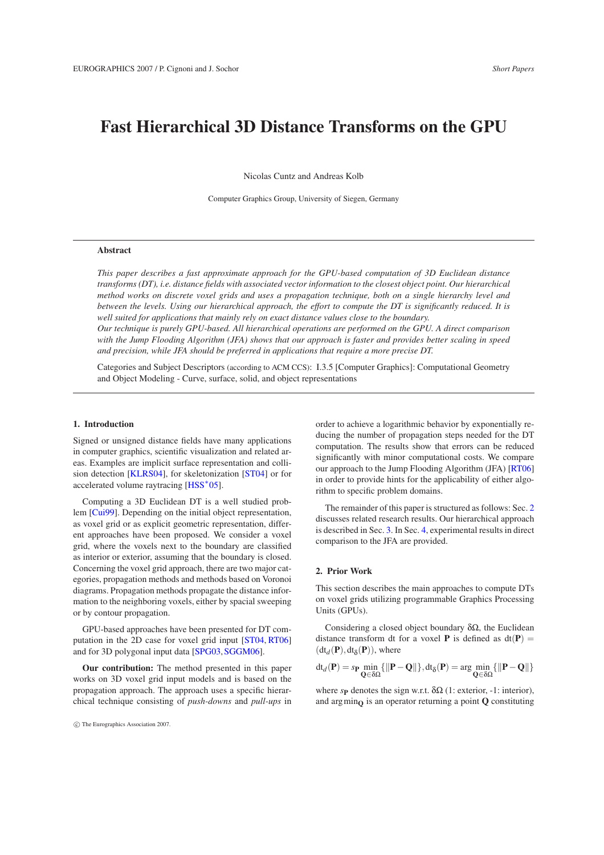# **Fast Hierarchical 3D Distance Transforms on the GPU**

Nicolas Cuntz and Andreas Kolb

Computer Graphics Group, University of Siegen, Germany

# **Abstract**

*This paper describes a fast approximate approach for the GPU-based computation of 3D Euclidean distance transforms (DT), i.e. distance fields with associated vector information to the closest object point. Our hierarchical method works on discrete voxel grids and uses a propagation technique, both on a single hierarchy level and between the levels. Using our hierarchical approach, the effort to compute the DT is significantly reduced. It is well suited for applications that mainly rely on exact distance values close to the boundary.*

*Our technique is purely GPU-based. All hierarchical operations are performed on the GPU. A direct comparison with the Jump Flooding Algorithm (JFA) shows that our approach is faster and provides better scaling in speed and precision, while JFA should be preferred in applications that require a more precise DT.*

Categories and Subject Descriptors (according to ACM CCS): I.3.5 [Computer Graphics]: Computational Geometry and Object Modeling - Curve, surface, solid, and object representations

#### **1. Introduction**

Signed or unsigned distance fields have many applications in computer graphics, scientific visualization and related areas. Examples are implicit surface representation and collision detection [\[KLRS04\]](#page-3-0), for skeletonization [\[ST04\]](#page-3-1) or for accelerated volume raytracing [\[HSS](#page-3-2)<sup>\*</sup>05].

Computing a 3D Euclidean DT is a well studied problem [\[Cui99\]](#page-3-3). Depending on the initial object representation, as voxel grid or as explicit geometric representation, different approaches have been proposed. We consider a voxel grid, where the voxels next to the boundary are classified as interior or exterior, assuming that the boundary is closed. Concerning the voxel grid approach, there are two major categories, propagation methods and methods based on Voronoi diagrams. Propagation methods propagate the distance information to the neighboring voxels, either by spacial sweeping or by contour propagation.

GPU-based approaches have been presented for DT computation in the 2D case for voxel grid input [\[ST04,](#page-3-1) [RT06\]](#page-3-4) and for 3D polygonal input data [\[SPG03,](#page-3-5) [SGGM06\]](#page-3-6).

**Our contribution:** The method presented in this paper works on 3D voxel grid input models and is based on the propagation approach. The approach uses a specific hierarchical technique consisting of *push-downs* and *pull-ups* in order to achieve a logarithmic behavior by exponentially reducing the number of propagation steps needed for the DT computation. The results show that errors can be reduced significantly with minor computational costs. We compare our approach to the Jump Flooding Algorithm (JFA) [\[RT06\]](#page-3-4) in order to provide hints for the applicability of either algorithm to specific problem domains.

The remainder of this paper is structured as follows: Sec. [2](#page-0-0) discusses related research results. Our hierarchical approach is described in Sec. [3.](#page-1-0) In Sec. [4,](#page-2-0) experimental results in direct comparison to the JFA are provided.

## <span id="page-0-0"></span>**2. Prior Work**

This section describes the main approaches to compute DTs on voxel grids utilizing programmable Graphics Processing Units (GPUs).

Considering a closed object boundary  $\delta\Omega$ , the Euclidean distance transform dt for a voxel **P** is defined as  $dt(P) =$  $(\text{dt}_d(\mathbf{P}), \text{dt}_{\delta}(\mathbf{P}))$ , where

$$
\mathrm{d} t_d(\mathbf{P}) = s_{\mathbf{P}}\min_{\mathbf{Q} \in \delta\Omega} \{ \|\mathbf{P} - \mathbf{Q}\| \}, \mathrm{d} t_\delta(\mathbf{P}) = \arg\min_{\mathbf{Q} \in \delta\Omega} \{ \|\mathbf{P} - \mathbf{Q}\| \}
$$

where  $s$ **P** denotes the sign w.r.t.  $\delta\Omega$  (1: exterior, -1: interior), and  $\arg \min_{\mathbf{Q}}$  is an operator returning a point **Q** constituting

c The Eurographics Association 2007.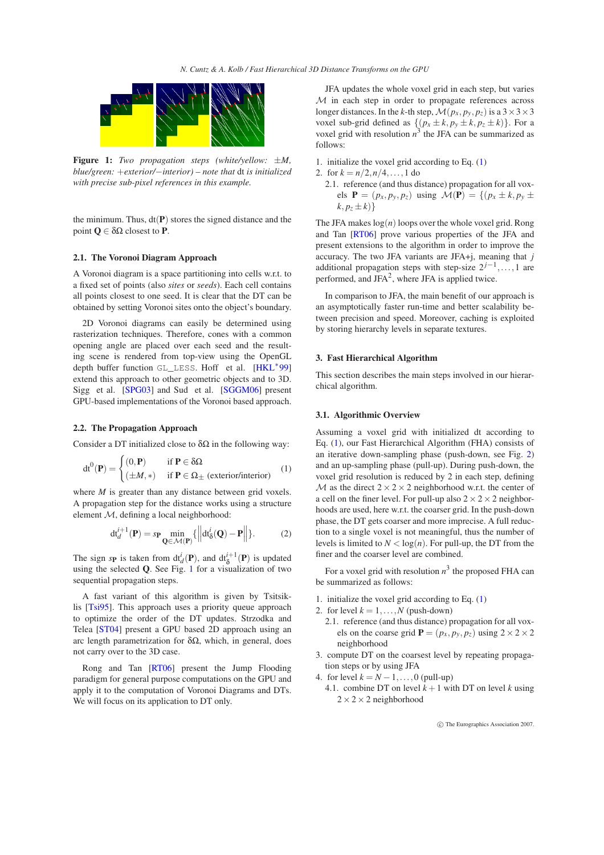

<span id="page-1-1"></span>**Figure 1:** *Two propagation steps (white/yellow:* ±*M, blue/green:* +*exterior/*−*interior) – note that* dt *is initialized with precise sub-pixel references in this example.*

the minimum. Thus,  $dt(P)$  stores the signed distance and the point **Q** ∈ δΩ closest to **P**.

### **2.1. The Voronoi Diagram Approach**

A Voronoi diagram is a space partitioning into cells w.r.t. to a fixed set of points (also *sites* or *seeds*). Each cell contains all points closest to one seed. It is clear that the DT can be obtained by setting Voronoi sites onto the object's boundary.

2D Voronoi diagrams can easily be determined using rasterization techniques. Therefore, cones with a common opening angle are placed over each seed and the resulting scene is rendered from top-view using the OpenGL depth buffer function GL\_LESS. Hoff et al. [\[HKL](#page-3-7)<sup>∗</sup>99] extend this approach to other geometric objects and to 3D. Sigg et al. [\[SPG03\]](#page-3-5) and Sud et al. [\[SGGM06\]](#page-3-6) present GPU-based implementations of the Voronoi based approach.

# **2.2. The Propagation Approach**

<span id="page-1-2"></span>Consider a DT initialized close to  $\delta\Omega$  in the following way:

$$
dt^{0}(\mathbf{P}) = \begin{cases} (0, \mathbf{P}) & \text{if } \mathbf{P} \in \delta\Omega \\ (\pm M, *) & \text{if } \mathbf{P} \in \Omega_{\pm} \text{ (exterior/interior)} \end{cases} (1)
$$

where *M* is greater than any distance between grid voxels. A propagation step for the distance works using a structure element M, defining a local neighborhood:

$$
\mathrm{dt}_{d}^{i+1}(\mathbf{P}) = s_{\mathbf{P}} \min_{\mathbf{Q} \in \mathcal{M}(\mathbf{P})} \{ \left\| \mathrm{dt}_{\delta}^{i}(\mathbf{Q}) - \mathbf{P} \right\| \}.
$$
 (2)

<span id="page-1-3"></span>The sign *s***P** is taken from  $dt_d^i(P)$ , and  $dt_\delta^{i+1}(P)$  is updated using the selected **Q**. See Fig. [1](#page-1-1) for a visualization of two sequential propagation steps.

A fast variant of this algorithm is given by Tsitsiklis [\[Tsi95\]](#page-3-8). This approach uses a priority queue approach to optimize the order of the DT updates. Strzodka and Telea [\[ST04\]](#page-3-1) present a GPU based 2D approach using an arc length parametrization for δΩ, which, in general, does not carry over to the 3D case.

Rong and Tan [\[RT06\]](#page-3-4) present the Jump Flooding paradigm for general purpose computations on the GPU and apply it to the computation of Voronoi Diagrams and DTs. We will focus on its application to DT only.

JFA updates the whole voxel grid in each step, but varies M in each step in order to propagate references across longer distances. In the *k*-th step,  $\mathcal{M}(p_x, p_y, p_z)$  is a  $3 \times 3 \times 3$ voxel sub-grid defined as  $\{(p_x \pm k, p_y \pm k, p_z \pm k)\}\.$  For a voxel grid with resolution  $n^3$  the JFA can be summarized as follows:

- 1. initialize the voxel grid according to Eq. [\(1\)](#page-1-2)
- 2. for  $k = n/2, n/4, \ldots, 1$  do
	- 2.1. reference (and thus distance) propagation for all voxels  $P = (p_x, p_y, p_z)$  using  $M(P) = \{(p_x \pm k, p_y \pm p_z)$  $k, p_z \pm k)$ }

The JFA makes  $log(n)$  loops over the whole voxel grid. Rong and Tan [\[RT06\]](#page-3-4) prove various properties of the JFA and present extensions to the algorithm in order to improve the accuracy. The two JFA variants are JFA+j, meaning that *j* additional propagation steps with step-size  $2^{j-1}, \ldots, 1$  are performed, and JFA<sup>2</sup>, where JFA is applied twice.

In comparison to JFA, the main benefit of our approach is an asymptotically faster run-time and better scalability between precision and speed. Moreover, caching is exploited by storing hierarchy levels in separate textures.

#### <span id="page-1-0"></span>**3. Fast Hierarchical Algorithm**

This section describes the main steps involved in our hierarchical algorithm.

#### <span id="page-1-4"></span>**3.1. Algorithmic Overview**

Assuming a voxel grid with initialized dt according to Eq. [\(1\)](#page-1-2), our Fast Hierarchical Algorithm (FHA) consists of an iterative down-sampling phase (push-down, see Fig. [2\)](#page-2-1) and an up-sampling phase (pull-up). During push-down, the voxel grid resolution is reduced by 2 in each step, defining M as the direct  $2 \times 2 \times 2$  neighborhood w.r.t. the center of a cell on the finer level. For pull-up also  $2 \times 2 \times 2$  neighborhoods are used, here w.r.t. the coarser grid. In the push-down phase, the DT gets coarser and more imprecise. A full reduction to a single voxel is not meaningful, thus the number of levels is limited to  $N < log(n)$ . For pull-up, the DT from the finer and the coarser level are combined.

For a voxel grid with resolution  $n^3$  the proposed FHA can be summarized as follows:

- 1. initialize the voxel grid according to Eq. [\(1\)](#page-1-2)
- 2. for level  $k = 1, ..., N$  (push-down)
- 2.1. reference (and thus distance) propagation for all voxels on the coarse grid  $P = (p_x, p_y, p_z)$  using  $2 \times 2 \times 2$ neighborhood
- 3. compute DT on the coarsest level by repeating propagation steps or by using JFA
- 4. for level  $k = N 1, \ldots, 0$  (pull-up)
- 4.1. combine DT on level  $k + 1$  with DT on level *k* using  $2 \times 2 \times 2$  neighborhood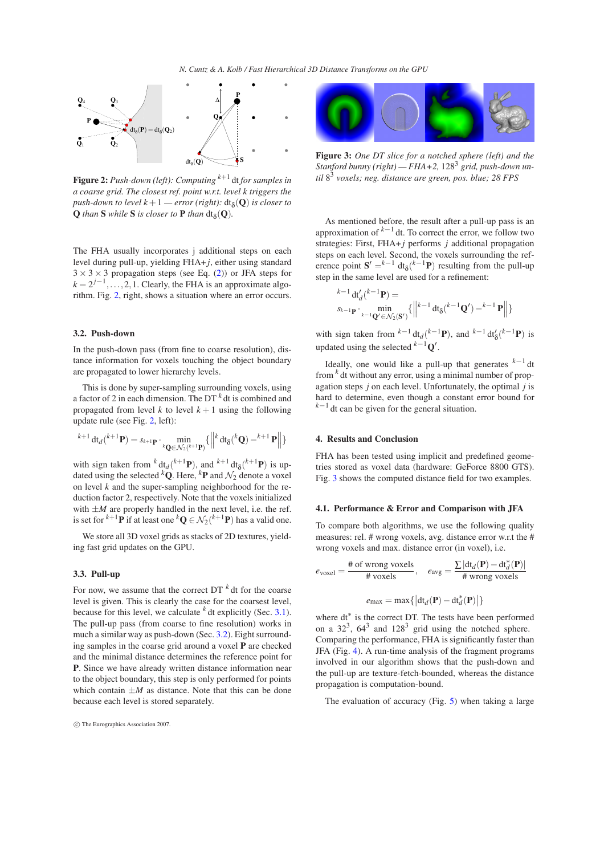

<span id="page-2-1"></span>**Figure 2:** *Push-down (left): Computing <sup>k</sup>*+<sup>1</sup> dt *for samples in a coarse grid. The closest ref. point w.r.t. level k triggers the*  $push-down$  to level  $k+1$  — error (right):  $dt_{\delta}(\mathbf{Q})$  is closer to  $Q$  *than*  $S$  *while*  $S$  *is closer to*  $P$  *than*  $dt_{\delta}(Q)$ *.* 

The FHA usually incorporates j additional steps on each level during pull-up, yielding FHA+ *j*, either using standard  $3 \times 3 \times 3$  propagation steps (see Eq. [\(2\)](#page-1-3)) or JFA steps for  $k = 2^{j-1}, \ldots, 2, 1$ . Clearly, the FHA is an approximate algorithm. Fig. [2,](#page-2-1) right, shows a situation where an error occurs.

#### <span id="page-2-2"></span>**3.2. Push-down**

In the push-down pass (from fine to coarse resolution), distance information for voxels touching the object boundary are propagated to lower hierarchy levels.

This is done by super-sampling surrounding voxels, using a factor of 2 in each dimension. The DT *<sup>k</sup>* dt is combined and propagated from level  $k$  to level  $k + 1$  using the following update rule (see Fig. [2,](#page-2-1) left):

$$
{}^{k+1}\mathrm{dt}_{d}({}^{k+1}\mathbf{P})=s_{k+1}\mathbf{p}\cdot\min_{{}^{k}\mathbf{Q}\in\mathcal{N}_{2}({}^{k+1}\mathbf{P})}\{\left\|\left\|\right\}\mathrm{dt}_{\delta}({}^{k}\mathbf{Q})-{}^{k+1}\mathbf{P}\right\|\}
$$

with sign taken from  $^{k}$  dt<sub>*d*</sub>( $^{k+1}$ **P**), and  $^{k+1}$  dt<sub>δ</sub>( $^{k+1}$ **P**) is updated using the selected <sup>k</sup>Q. Here, <sup>k</sup>P and  $\mathcal{N}_2$  denote a voxel on level *k* and the super-sampling neighborhood for the reduction factor 2, respectively. Note that the voxels initialized with  $\pm M$  are properly handled in the next level, i.e. the ref. is set for <sup> $k+1$ </sup>**P** if at least one  ${}^k$ **Q**  $\in$   $\mathcal{N}_2$ ( ${}^{k+1}$ **P**) has a valid one.

We store all 3D voxel grids as stacks of 2D textures, yielding fast grid updates on the GPU.

#### **3.3. Pull-up**

For now, we assume that the correct DT *<sup>k</sup>* dt for the coarse level is given. This is clearly the case for the coarsest level, because for this level, we calculate *<sup>k</sup>* dt explicitly (Sec. [3.1\)](#page-1-4). The pull-up pass (from coarse to fine resolution) works in much a similar way as push-down (Sec. [3.2\)](#page-2-2). Eight surrounding samples in the coarse grid around a voxel **P** are checked and the minimal distance determines the reference point for **P**. Since we have already written distance information near to the object boundary, this step is only performed for points which contain  $\pm M$  as distance. Note that this can be done because each level is stored separately.



**Figure 3:** *One DT slice for a notched sphere (left) and the Stanford bunny (right) — FHA+2,* 128<sup>3</sup> *grid, push-down until* 8 3 *voxels; neg. distance are green, pos. blue; 28 FPS*

<span id="page-2-3"></span>As mentioned before, the result after a pull-up pass is an approximation of  $k-1$  dt. To correct the error, we follow two strategies: First, FHA+ *j* performs *j* additional propagation steps on each level. Second, the voxels surrounding the reference point  $S' = k^{-1} dt_{\delta}$  ( $k^{-1}P$ ) resulting from the pull-up step in the same level are used for a refinement:

$$
{}_{s_{k-1}\mathbf{p}}^{k-1} \mathrm{d}t'_{d}(k-1\mathbf{p}) =
$$
  
\n
$$
{}_{s_{k-1}\mathbf{p}} \cdot \min_{k-1 \mathbf{Q'} \in \mathcal{N}_{2}(\mathbf{S'})} \{ ||^{k-1} \mathrm{d}t_{\delta}(k-1\mathbf{Q'}) - k-1\mathbf{p} || \}
$$

with sign taken from  ${}^{k-1}$  dt<sub>*d*</sub>( ${}^{k-1}$ **P**), and  ${}^{k-1}$  dt<sup>*'*</sup><sub>δ</sub>( ${}^{k-1}$ **P**) is updated using the selected *<sup>k</sup>*−1**Q** ′ .

Ideally, one would like a pull-up that generates *<sup>k</sup>*−<sup>1</sup> dt from *<sup>k</sup>* dt without any error, using a minimal number of propagation steps *j* on each level. Unfortunately, the optimal *j* is hard to determine, even though a constant error bound for *k*−1 dt can be given for the general situation.

#### <span id="page-2-0"></span>**4. Results and Conclusion**

FHA has been tested using implicit and predefined geometries stored as voxel data (hardware: GeForce 8800 GTS). Fig. [3](#page-2-3) shows the computed distance field for two examples.

#### **4.1. Performance & Error and Comparison with JFA**

To compare both algorithms, we use the following quality measures: rel. # wrong voxels, avg. distance error w.r.t the # wrong voxels and max. distance error (in voxel), i.e.

$$
e_{\text{voxel}} = \frac{\text{\# of wrong voxels}}{\text{\# voxels}}, \quad e_{\text{avg}} = \frac{\sum |\text{dt}_{d}(\mathbf{P}) - \text{dt}_{d}^{*}(\mathbf{P})|}{\text{\# wrong voxels}}
$$

$$
e_{\text{max}} = \max\{|\text{dt}_{d}(\mathbf{P}) - \text{dt}_{d}^{*}(\mathbf{P})|\}
$$

where dt<sup>\*</sup> is the correct DT. The tests have been performed on a  $32^3$ ,  $64^3$  and  $128^3$  grid using the notched sphere. Comparing the performance, FHA is significantly faster than JFA (Fig. [4\)](#page-3-9). A run-time analysis of the fragment programs involved in our algorithm shows that the push-down and the pull-up are texture-fetch-bounded, whereas the distance propagation is computation-bound.

The evaluation of accuracy (Fig. [5\)](#page-3-10) when taking a large

c The Eurographics Association 2007.